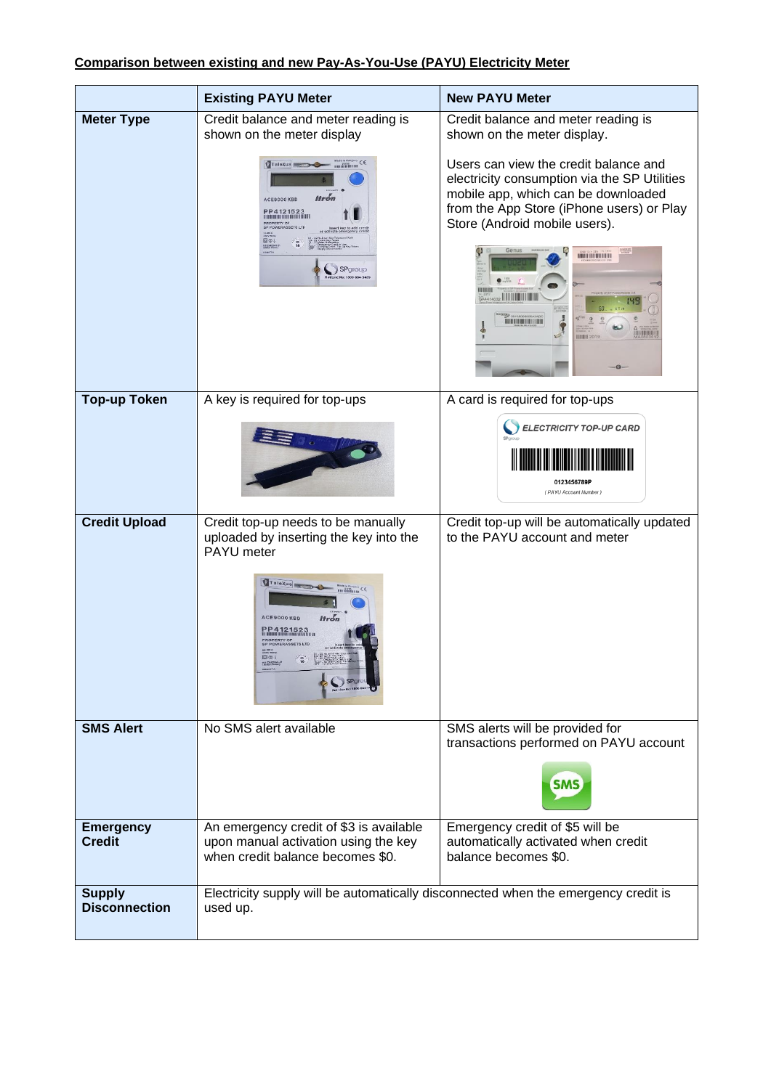|                                       | <b>Existing PAYU Meter</b>                                                                                                                                                                                                                                                                                          | <b>New PAYU Meter</b>                                                                                                                                                                                                                                                       |
|---------------------------------------|---------------------------------------------------------------------------------------------------------------------------------------------------------------------------------------------------------------------------------------------------------------------------------------------------------------------|-----------------------------------------------------------------------------------------------------------------------------------------------------------------------------------------------------------------------------------------------------------------------------|
| <b>Meter Type</b>                     | Credit balance and meter reading is<br>shown on the meter display                                                                                                                                                                                                                                                   | Credit balance and meter reading is<br>shown on the meter display.                                                                                                                                                                                                          |
|                                       | $\begin{array}{c}\n\text{Mato} & \text{InHiggs} \\ \text{Mato} & \text{InHiggs} \\ \text{Mup} & \text{InHiggs}\n\end{array} \in \mathfrak{S}$<br>TaleXus<br><b>Itrón</b><br>ACE9000 KBD<br>PP4121523<br><b>PROPERTY OF<br/>SP POWERASSETS LTD</b><br>00<br><b>BE CARDOSS</b><br>SPgroup<br>t Line No: 1800-884-5489 | Users can view the credit balance and<br>electricity consumption via the SP Utilities<br>mobile app, which can be downloaded<br>from the App Store (iPhone users) or Play<br>Store (Android mobile users).<br><b>HOLLENDORFEN</b><br><b>TRAINING INTERNATIONAL PROPERTY</b> |
| <b>Top-up Token</b>                   | A key is required for top-ups                                                                                                                                                                                                                                                                                       | A card is required for top-ups                                                                                                                                                                                                                                              |
|                                       |                                                                                                                                                                                                                                                                                                                     | <b>ELECTRICITY TOP-UP CARD</b><br>0123456789P<br>(PAYU Account Number)                                                                                                                                                                                                      |
| <b>Credit Upload</b>                  | Credit top-up needs to be manually<br>uploaded by inserting the key into the<br>PAYU meter                                                                                                                                                                                                                          | Credit top-up will be automatically updated<br>to the PAYU account and meter                                                                                                                                                                                                |
|                                       | TaleXus<br>$m$ <sup>201</sup> $n$ <sub>im</sub> CE<br><b>Itrón</b><br>ACE9000 KBD<br>PP4121523<br><b>PROPERTY OF<br/>SP POWERASSE</b>                                                                                                                                                                               |                                                                                                                                                                                                                                                                             |
| <b>SMS Alert</b>                      | No SMS alert available                                                                                                                                                                                                                                                                                              | SMS alerts will be provided for<br>transactions performed on PAYU account                                                                                                                                                                                                   |
|                                       |                                                                                                                                                                                                                                                                                                                     | <b>SMS</b>                                                                                                                                                                                                                                                                  |
| <b>Emergency</b><br><b>Credit</b>     | An emergency credit of \$3 is available<br>upon manual activation using the key<br>when credit balance becomes \$0.                                                                                                                                                                                                 | Emergency credit of \$5 will be<br>automatically activated when credit<br>balance becomes \$0.                                                                                                                                                                              |
| <b>Supply</b><br><b>Disconnection</b> | Electricity supply will be automatically disconnected when the emergency credit is<br>used up.                                                                                                                                                                                                                      |                                                                                                                                                                                                                                                                             |